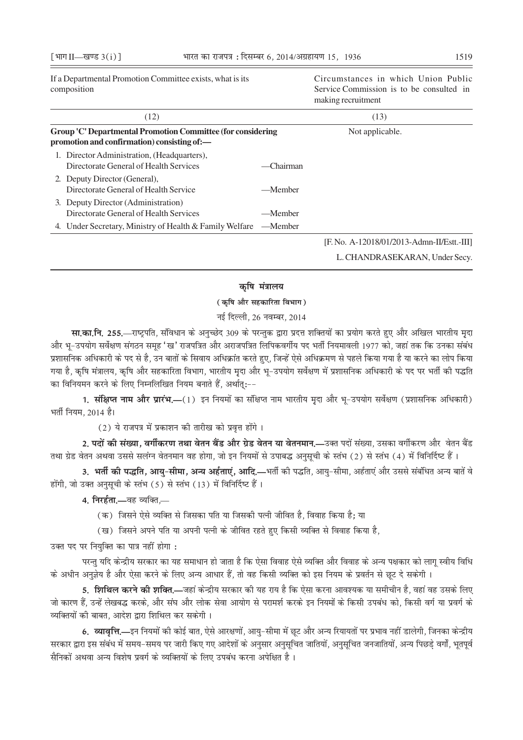If a Departmental Promotion Committee exists, what is its composition

Circumstances in which Union Public Service Commission is to be consulted in making recruitment

| (12)                                                                                                       |              | (13)                                       |  |  |
|------------------------------------------------------------------------------------------------------------|--------------|--------------------------------------------|--|--|
| Group 'C' Departmental Promotion Committee (for considering<br>promotion and confirmation) consisting of:- |              | Not applicable.                            |  |  |
| 1. Director Administration, (Headquarters),<br>Directorate General of Health Services                      | $-C$ hairman |                                            |  |  |
| 2. Deputy Director (General),<br>Directorate General of Health Service                                     | —Member      |                                            |  |  |
| 3. Deputy Director (Administration)<br>Directorate General of Health Services                              | —Member      |                                            |  |  |
| 4. Under Secretary, Ministry of Health & Family Welfare                                                    | —Member      |                                            |  |  |
|                                                                                                            |              | [F. No. A-12018/01/2013-Admn-II/Estt.-III] |  |  |
|                                                                                                            |              | L. CHANDRASEKARAN, Under Secy.             |  |  |

## कृषि मंत्रालय

## (कृषि और सहकारिता विभाग)

## नई दिल्ली, 26 नवम्बर, 2014

**सा.का.नि. 255.**—राष्ट्रपति, संविधान के अनुच्छेद 309 के परन्तुक द्वारा प्रदत्त शक्तियों का प्रयोग करते हुए और अखिल भारतीय मृदा और भृ-उपयोग सर्वेक्षण संगठन समृह 'ख' राजपत्रित और अराजपत्रित लिपिकवर्गीय पद भर्ती नियमावली 1977 को, जहां तक कि उनका संबंध प्रशासनिक अधिकारी के पद से है, उन बातों के सिवाय अधिक्रांत करते हुए, जिन्हें ऐसे अधिक्रमण से पहले किया गया है या करने का लोप किया गया है, कृषि मंत्रालय, कृषि और सहकारिता विभाग, भारतीय मृदा और भू–उपयोग सर्वेक्षण में प्रशासनिक अधिकारी के पद पर भर्ती की पद्धति का विनियमन करने के लिए निम्नलिखित नियम बनाते हैं, अर्थात्:--

1. संक्षिप्त नाम और प्रारंभ.—(1) इन नियमों का संक्षिप्त नाम भारतीय मदा और भ-उपयोग सर्वेक्षण (प्रशासनिक अधिकारी) भर्ती नियम. 2014 है।

(2) ये राजपत्र में प्रकाशन की तारीख को प्रवृत्त होंगे।

2. पदों की संख्या, वर्गीकरण तथा वेतन बैंड और ग्रेड वेतन या वेतनमान.—उक्त पदों संख्या, उसका वर्गीकरण और वेतन बैंड तथा ग्रेड वेतन अथवा उससे सलंग्न वेतनमान वह होगा, जो इन नियमों से उपाबद्ध अनुसूची के स्तंभ (2) से स्तंभ (4) में विनिर्दिष्ट हैं।

3. भर्ती की पद्धति, आयु-सीमा, अन्य अर्हताएं, आदि.—भर्ती की पद्धति, आयु-सीमा, अर्हताएं और उससे संबंधित अन्य बातें वे होंगी, जो उक्त अनुसूची के स्तंभ (5) से स्तंभ (13) में विनिर्दिष्ट हैं।

4. निरर्हता.—वह व्यक्ति.—

(क) जिसने ऐसे व्यक्ति से जिसका पति या जिसकी पत्नी जीवित है, विवाह किया है; या

(ख) जिसने अपने पति या अपनी पत्नी के जीवित रहते हुए किसी व्यक्ति से विवाह किया है,

उक्त पद पर नियुक्ति का पात्र नहीं होगा :

परन्तु यदि केन्द्रीय सरकार का यह समाधान हो जाता है कि ऐसा विवाह ऐसे व्यक्ति और विवाह के अन्य पक्षकार को लागू स्वीय विधि के अधीन अनुज्ञेय है और ऐसा करने के लिए अन्य आधार हैं, तो वह किसी व्यक्ति को इस नियम के प्रवर्तन से छूट दे सकेगी ।

5. **शिथिल करने की शक्ति.—**जहां केन्द्रीय सरकार की यह राय है कि ऐसा करना आवश्यक या समीचीन है, वहां वह उसके लिए जो कारण हैं, उन्हें लेखबद्ध करके, और संघ और लोक सेवा आयोग से परामर्श करके इन नियमों के किसी उपबंध को, किसी वर्ग या प्रवर्ग के व्यक्तियों की बाबत, आदेश द्वारा शिथिल कर सकेगी।

6. व्यावृत्ति.—इन नियमों की कोई बात, ऐसे आरक्षणों, आय्-सीमा में छूट और अन्य रियायतों पर प्रभाव नहीं डालेगी, जिनका केन्द्रीय सरकार द्वारा इस संबंध में समय-समय पर जारी किए गए आदेशों के अनुसार अनुसूचित जातियों, अनुसूचित जनजातियों, अन्य पिछडे वर्गों, भूतपूर्व सैनिकों अथवा अन्य विशेष प्रवर्ग के व्यक्तियों के लिए उपबंध करना अपेक्षित है।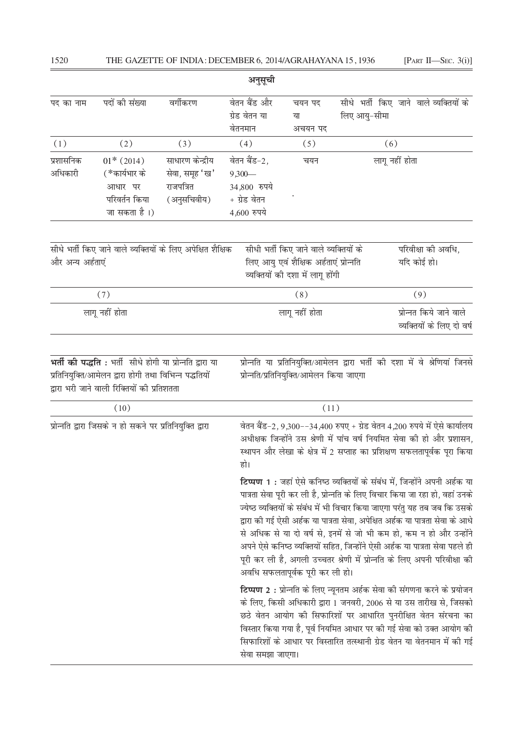| अनुसूची                                                  |                                                                                                                                                                 |                                                                |                                                                         |                                                                                                                      |                                                      |                                                                                                                                                                                                                                                                                                                                                                                                                                                                                                                                                                 |
|----------------------------------------------------------|-----------------------------------------------------------------------------------------------------------------------------------------------------------------|----------------------------------------------------------------|-------------------------------------------------------------------------|----------------------------------------------------------------------------------------------------------------------|------------------------------------------------------|-----------------------------------------------------------------------------------------------------------------------------------------------------------------------------------------------------------------------------------------------------------------------------------------------------------------------------------------------------------------------------------------------------------------------------------------------------------------------------------------------------------------------------------------------------------------|
| पद का नाम                                                | पदों की संख्या                                                                                                                                                  | वर्गीकरण                                                       | वेतन बैंड और<br>ग्रेड वेतन या<br>वेतनमान                                | चयन पद<br>या<br>अचयन पद                                                                                              | लिए आयु-सीमा                                         | सीधे भर्ती किए जाने वाले व्यक्तियों के                                                                                                                                                                                                                                                                                                                                                                                                                                                                                                                          |
| (1)                                                      | (2)                                                                                                                                                             | (3)                                                            | (4)                                                                     | (5)                                                                                                                  |                                                      | (6)                                                                                                                                                                                                                                                                                                                                                                                                                                                                                                                                                             |
| प्रशासनिक<br>अधिकारी                                     | $01*$ (2014)<br>(*कार्यभार के<br>आधार पर<br>परिवर्तन किया<br>जा सकता है।)                                                                                       | साधारण केन्द्रीय<br>सेवा, समूह 'ख'<br>राजपत्रित<br>(अनुसचिवीय) | वेतन बैंड-2,<br>$9,300-$<br>34,800 रुपये<br>+ ग्रेड वेतन<br>4,600 रुपये | चयन                                                                                                                  |                                                      | लागू नहीं होता                                                                                                                                                                                                                                                                                                                                                                                                                                                                                                                                                  |
| और अन्य अर्हताएं                                         | सीधे भर्ती किए जाने वाले व्यक्तियों के लिए अपेक्षित शैक्षिक                                                                                                     |                                                                |                                                                         | सीधी भर्ती किए जाने वाले व्यक्तियों के<br>लिए आयु एवं शैक्षिक अर्हताएं प्रोन्नति<br>व्यक्तियों की दशा में लागू होंगी |                                                      | परिवीक्षा की अवधि,<br>यदि कोई हो।                                                                                                                                                                                                                                                                                                                                                                                                                                                                                                                               |
|                                                          | (7)                                                                                                                                                             |                                                                |                                                                         | (8)                                                                                                                  |                                                      | (9)                                                                                                                                                                                                                                                                                                                                                                                                                                                                                                                                                             |
| लागू नहीं होता                                           |                                                                                                                                                                 |                                                                |                                                                         | लागू नहीं होता                                                                                                       | प्रोन्नत किये जाने वाले<br>व्यक्तियों के लिए दो वर्ष |                                                                                                                                                                                                                                                                                                                                                                                                                                                                                                                                                                 |
|                                                          | भर्ती की पद्धति: भर्ती सीधे होगी या प्रोन्नति द्वारा या<br>प्रतिनियुक्ति/आमेलन द्वारा होगी तथा विभिन्न पद्धतियों<br>द्वारा भरी जाने वाली रिक्तियों की प्रतिशतता |                                                                |                                                                         | प्रोन्नति/प्रतिनियुक्ति/आमेलन किया जाएगा                                                                             |                                                      | प्रोन्नति या प्रतिनियुक्ति/आमेलन द्वारा भर्ती की दशा में वे श्रेणियां जिनसे                                                                                                                                                                                                                                                                                                                                                                                                                                                                                     |
|                                                          | (10)                                                                                                                                                            |                                                                |                                                                         | (11)                                                                                                                 |                                                      |                                                                                                                                                                                                                                                                                                                                                                                                                                                                                                                                                                 |
| प्रोन्नति द्वारा जिसके न हो सकने पर प्रतिनियुक्ति द्वारा |                                                                                                                                                                 |                                                                | हो।                                                                     |                                                                                                                      |                                                      | वेतन बैंड-2, 9,300--34,400 रुपए + ग्रेड वेतन 4,200 रुपये में ऐसे कार्यालय<br>अधीक्षक जिन्होंने उस श्रेणी में पांच वर्ष नियमित सेवा की हो और प्रशासन,<br>स्थापन और लेखा के क्षेत्र में 2 सप्ताह का प्रशिक्षण सफलतापूर्वक पूरा किया<br>टिप्पण 1 : जहां ऐसे कनिष्ठ व्यक्तियों के संबंध में, जिन्होंने अपनी अर्हक या<br>पात्रता सेवा पूरी कर ली है, प्रोन्नति के लिए विचार किया जा रहा हो, वहां उनके<br>ज्येष्ठ व्यक्तियों के संबंध में भी विचार किया जाएगा परंतु यह तब जब कि उसके<br>द्वारा की गई ऐसी अर्हक या पात्रता सेवा, अपेक्षित अर्हक या पात्रता सेवा के आधे |
|                                                          |                                                                                                                                                                 |                                                                |                                                                         | अवधि सफलतापूर्वक पूरी कर ली हो।                                                                                      |                                                      | से अधिक से या दो वर्ष से, इनमें से जो भी कम हो, कम न हो और उन्होंने<br>अपने ऐसे कनिष्ठ व्यक्तियों सहित, जिन्होंने ऐसी अर्हक या पात्रता सेवा पहले ही<br>पूरी कर ली है, अगली उच्चतर श्रेणी में प्रोन्नति के लिए अपनी परिवीक्षा की                                                                                                                                                                                                                                                                                                                                 |
|                                                          |                                                                                                                                                                 |                                                                |                                                                         |                                                                                                                      |                                                      | टिप्पण 2: प्रोन्नति के लिए न्यूनतम अर्हक सेवा की संगणना करने के प्रयोजन<br>के लिए, किसी अधिकारी द्वारा 1 जनवरी, 2006 से या उस तारीख से, जिसको                                                                                                                                                                                                                                                                                                                                                                                                                   |

छठे वेतन आयोग की सिफारिशों पर आधारित पुनरीक्षित वेतन संरचना का .<br>विस्तार किया गया है, पूर्व नियमित आधार पर की गई सेवा को उक्त आयोग की सिफारिशों के आधार पर विस्तारित तत्स्थानी ग्रेड वेतन या वेतनमान में की गई सेवा समझा जाएगा।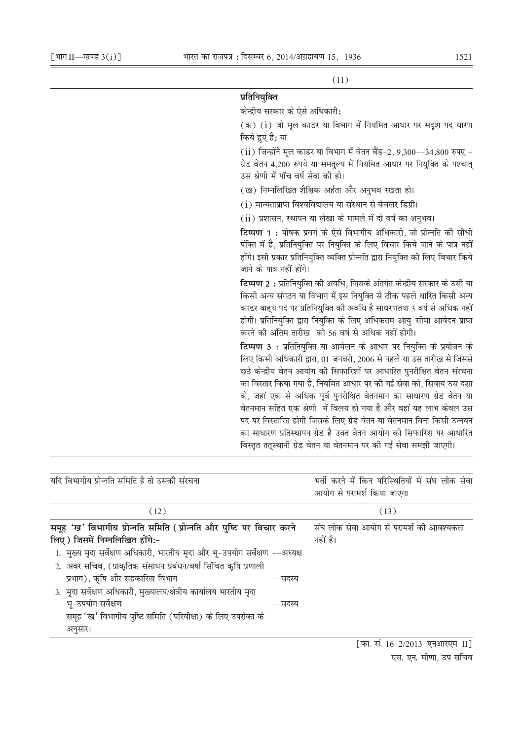$(11)$ 

# प्रतिनियक्ति

केन्द्रीय सरकार के ऐसे अधिकारी:

(क) (i) जो मूल काडर या विभाग में नियमित आधार पर सदुश पद धारण किये हुए है: या

 $(iii)$  जिन्होंने मल काडर या विभाग में वेतन बैंड-2, 9,300--34,800 रुपए + ग्रेड वेतन 4,200 रुपये या समतुल्य में नियमित आधार पर नियुक्ति के पश्चात् उस श्रेणी में पाँच वर्ष सेवा की हो।

(ख) निम्नलिखित शैक्षिक अर्हता और अनुभव रखता हो।

(i) मान्यताप्राप्त विश्वविद्यालय या संस्थान से बेचलर डिग्री।

(ii) प्रशासन, स्थापन या लेखा के मामले में दो वर्ष का अनुभव।

टिप्पण 1: पोषक प्रवर्ग के ऐसे विभागीय अधिकारी, जो प्रोन्नति की सीधी पंक्ति में है, प्रतिनियुक्ति पर नियुक्ति के लिए विचार किये जाने के पात्र नहीं होंगे। इसी प्रकार प्रतिनियुक्ति व्यक्ति प्रोन्नति द्वारा नियुक्ति की लिए विचार किये जाने के पात्र नहीं होंगे।

टिप्पण 2 : प्रतिनियुक्ति की अवधि, जिसके अंतर्गत केन्द्रीय सरकार के उसी या किसी अन्य संगठन या विभाग में इस नियक्ति से ठीक पहले धारित किसी अन्य काडर बाहय पद पर प्रतिनियुक्ति की अवधि है साधरणतया 3 वर्ष से अधिक नहीं होगी। प्रतिनियक्ति द्वारा नियक्ति के लिए अधिकतम आय-सीमा आवेदन प्राप्त करने की अंतिम तारीख को 56 वर्ष से अधिक नहीं होगी।

टिप्पण 3: प्रतिनियुक्ति या आमेलन के आधार पर नियुक्ति के प्रयोजन के लिए किसी अधिकारी द्वारा, 01 जनवरी, 2006 से पहले या उस तारीख से जिससे छठे केन्द्रीय वेतन आयोग की सिफारिशों पर आधारित पुनरीक्षित वेतन संरचना का विस्तार किया गया है. नियमित आधार पर की गई सेवा को. सिवाय उस दशा के, जहां एक से अधिक पूर्व पुनरीक्षित वेतनमान का साधारण ग्रेड वेतन या वेतनमान सहित एक श्रेणी में विलय हो गया है और वहां यह लाभ केवल उस पद पर विस्तारित होगी जिसके लिए ग्रेड वेतन या वेतनमान बिना किसी उन्नयन का साधारण प्रतिस्थापन ग्रेड है उक्त वेतन आयोग की सिफारिश पर आधारित विस्तृत ततुस्थानी ग्रेड वेतन या वेतनमान पर की गई सेवा समझी जाएगी।

| यदि विभागीय प्रोन्नति समिति है तो उसकी संरचना | भर्ती करने में किन परिस्थितियों में संघ लोक सेवा<br>आयोग से परामर्श किया जाएगा |
|-----------------------------------------------|--------------------------------------------------------------------------------|
| (12)                                          | (13)                                                                           |

| समूह 'ख' विभागीय प्रोन्नति समिति (प्रोन्नति और पुष्टि पर विचार करने          |         | संघ लोक सेवा आयोग से परामर्श की आवश्यकता |
|------------------------------------------------------------------------------|---------|------------------------------------------|
| लिए) जिसमें निम्नलिखित होंगे:-                                               |         | नहीं है।                                 |
| 1. मुख्य मृदा सर्वेक्षण अधिकारी, भारतीय मृदा और भू-उपयोग सर्वेक्षण --अध्यक्ष |         |                                          |
| 2. अवर सचिव, (प्राकृतिक संसाधन प्रबंधन/वर्षा सिंचित कृषि प्रणाली             |         |                                          |
| प्रभाग), कृषि और सहकारिता विभाग                                              | ––सदस्य |                                          |
| 3. मृदा सर्वेक्षण अधिकारी, मुख्यालय/क्षेत्रीय कार्यालय भारतीय मृदा           |         |                                          |
| भू-उपयोग सर्वेक्षण                                                           | ––सदस्य |                                          |
| समूह 'ख' विभागीय पुष्टि समिति (परिवीक्षा) के लिए उपरोक्त के                  |         |                                          |
| अनुसार।                                                                      |         |                                          |

[फा. सं. 16-2/2013-एनआरएम-II] एस. एन. मीणा, उप सचिव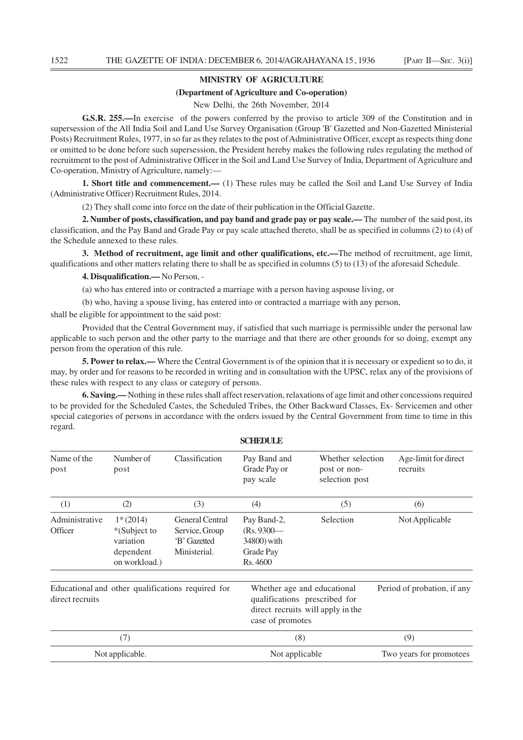### **MINISTRY OF AGRICULTURE**

#### **(Department of Agriculture and Co-operation)**

New Delhi, the 26th November, 2014

**G.S.R. 255.—**In exercise of the powers conferred by the proviso to article 309 of the Constitution and in supersession of the All India Soil and Land Use Survey Organisation (Group 'B' Gazetted and Non-Gazetted Ministerial Posts) Recruitment Rules, 1977, in so far as they relates to the post of Administrative Officer, except as respects thing done or omitted to be done before such supersession, the President hereby makes the following rules regulating the method of recruitment to the post of Administrative Officer in the Soil and Land Use Survey of India, Department of Agriculture and Co-operation, Ministry of Agriculture, namely:—

**1. Short title and commencement.—** (1) These rules may be called the Soil and Land Use Survey of India (Administrative Officer) Recruitment Rules, 2014.

(2) They shall come into force on the date of their publication in the Official Gazette.

**2. Number of posts, classification, and pay band and grade pay or pay scale.—** The number of the said post, its classification, and the Pay Band and Grade Pay or pay scale attached thereto, shall be as specified in columns (2) to (4) of the Schedule annexed to these rules.

**3. Method of recruitment, age limit and other qualifications, etc.—**The method of recruitment, age limit, qualifications and other matters relating there to shall be as specified in columns (5) to (13) of the aforesaid Schedule.

**4. Disqualification.—** No Person, -

(a) who has entered into or contracted a marriage with a person having aspouse living, or

(b) who, having a spouse living, has entered into or contracted a marriage with any person,

shall be eligible for appointment to the said post:

Provided that the Central Government may, if satisfied that such marriage is permissible under the personal law applicable to such person and the other party to the marriage and that there are other grounds for so doing, exempt any person from the operation of this rule.

**5. Power to relax.—** Where the Central Government is of the opinion that it is necessary or expedient so to do, it may, by order and for reasons to be recorded in writing and in consultation with the UPSC, relax any of the provisions of these rules with respect to any class or category of persons.

**6. Saving.—** Nothing in these rules shall affect reservation, relaxations of age limit and other concessions required to be provided for the Scheduled Castes, the Scheduled Tribes, the Other Backward Classes, Ex- Servicemen and other special categories of persons in accordance with the orders issued by the Central Government from time to time in this regard.

|                                                                      |                                                                       |                                                                                                                       | SCHEDULE                                                             |                                                     |                                  |  |
|----------------------------------------------------------------------|-----------------------------------------------------------------------|-----------------------------------------------------------------------------------------------------------------------|----------------------------------------------------------------------|-----------------------------------------------------|----------------------------------|--|
| Name of the<br>post                                                  | Number of<br>post                                                     | Classification                                                                                                        | Pay Band and<br>Grade Pay or<br>pay scale                            | Whether selection<br>post or non-<br>selection post | Age-limit for direct<br>recruits |  |
| (1)                                                                  | (2)                                                                   | (3)                                                                                                                   | (4)                                                                  | (5)                                                 | (6)                              |  |
| Administrative<br>Officer                                            | $1*(2014)$<br>*(Subject to<br>variation<br>dependent<br>on workload.) | <b>General Central</b><br>Service, Group<br>'B' Gazetted<br>Ministerial.                                              | Pay Band-2,<br>$(Rs. 9300 -$<br>34800) with<br>Grade Pay<br>Rs. 4600 | Selection                                           | Not Applicable                   |  |
| Educational and other qualifications required for<br>direct recruits |                                                                       | Whether age and educational<br>qualifications prescribed for<br>direct recruits will apply in the<br>case of promotes |                                                                      | Period of probation, if any                         |                                  |  |
| (7)<br>Not applicable.                                               |                                                                       |                                                                                                                       | (8)<br>Not applicable                                                |                                                     | (9)<br>Two years for promotees   |  |

**SCHEDULE**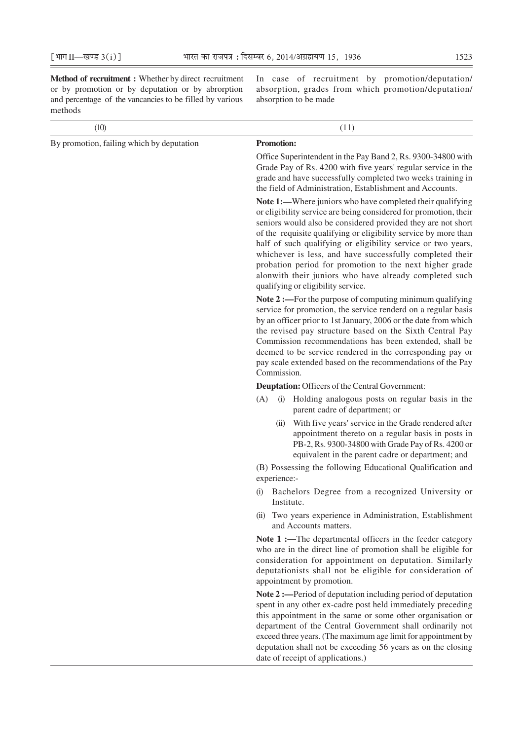and percentage of the vancancies to be filled by various absorption to be made methods

**Method of recruitment :** Whether by direct recruitment In case of recruitment by promotion/deputation/ or by promotion or by deputation or by abrorption absorption, grades from which promotion/deputation/

| (10)                                      | (11)                                                                                                                                                                                                                                                                                                                                                                                                                                                                                                                                                    |  |  |  |
|-------------------------------------------|---------------------------------------------------------------------------------------------------------------------------------------------------------------------------------------------------------------------------------------------------------------------------------------------------------------------------------------------------------------------------------------------------------------------------------------------------------------------------------------------------------------------------------------------------------|--|--|--|
| By promotion, failing which by deputation | <b>Promotion:</b>                                                                                                                                                                                                                                                                                                                                                                                                                                                                                                                                       |  |  |  |
|                                           | Office Superintendent in the Pay Band 2, Rs. 9300-34800 with<br>Grade Pay of Rs. 4200 with five years' regular service in the<br>grade and have successfully completed two weeks training in<br>the field of Administration, Establishment and Accounts.                                                                                                                                                                                                                                                                                                |  |  |  |
|                                           | Note 1:—Where juniors who have completed their qualifying<br>or eligibility service are being considered for promotion, their<br>seniors would also be considered provided they are not short<br>of the requisite qualifying or eligibility service by more than<br>half of such qualifying or eligibility service or two years,<br>whichever is less, and have successfully completed their<br>probation period for promotion to the next higher grade<br>alonwith their juniors who have already completed such<br>qualifying or eligibility service. |  |  |  |
|                                           | Note 2 :—For the purpose of computing minimum qualifying<br>service for promotion, the service renderd on a regular basis<br>by an officer prior to 1st January, 2006 or the date from which<br>the revised pay structure based on the Sixth Central Pay<br>Commission recommendations has been extended, shall be<br>deemed to be service rendered in the corresponding pay or<br>pay scale extended based on the recommendations of the Pay<br>Commission.                                                                                            |  |  |  |
|                                           | Deuptation: Officers of the Central Government:                                                                                                                                                                                                                                                                                                                                                                                                                                                                                                         |  |  |  |
|                                           | (A)<br>Holding analogous posts on regular basis in the<br>(i)<br>parent cadre of department; or                                                                                                                                                                                                                                                                                                                                                                                                                                                         |  |  |  |
|                                           | With five years' service in the Grade rendered after<br>(i)<br>appointment thereto on a regular basis in posts in<br>PB-2, Rs. 9300-34800 with Grade Pay of Rs. 4200 or<br>equivalent in the parent cadre or department; and                                                                                                                                                                                                                                                                                                                            |  |  |  |
|                                           | (B) Possessing the following Educational Qualification and<br>experience:-                                                                                                                                                                                                                                                                                                                                                                                                                                                                              |  |  |  |
|                                           | Bachelors Degree from a recognized University or<br>(i)<br>Institute.                                                                                                                                                                                                                                                                                                                                                                                                                                                                                   |  |  |  |
|                                           | (ii) Two years experience in Administration, Establishment<br>and Accounts matters.                                                                                                                                                                                                                                                                                                                                                                                                                                                                     |  |  |  |
|                                           | Note 1 :- The departmental officers in the feeder category<br>who are in the direct line of promotion shall be eligible for<br>consideration for appointment on deputation. Similarly<br>deputationists shall not be eligible for consideration of<br>appointment by promotion.                                                                                                                                                                                                                                                                         |  |  |  |
|                                           | Note 2:—Period of deputation including period of deputation<br>spent in any other ex-cadre post held immediately preceding<br>this appointment in the same or some other organisation or<br>department of the Central Government shall ordinarily not<br>exceed three years. (The maximum age limit for appointment by<br>deputation shall not be exceeding 56 years as on the closing<br>date of receipt of applications.)                                                                                                                             |  |  |  |